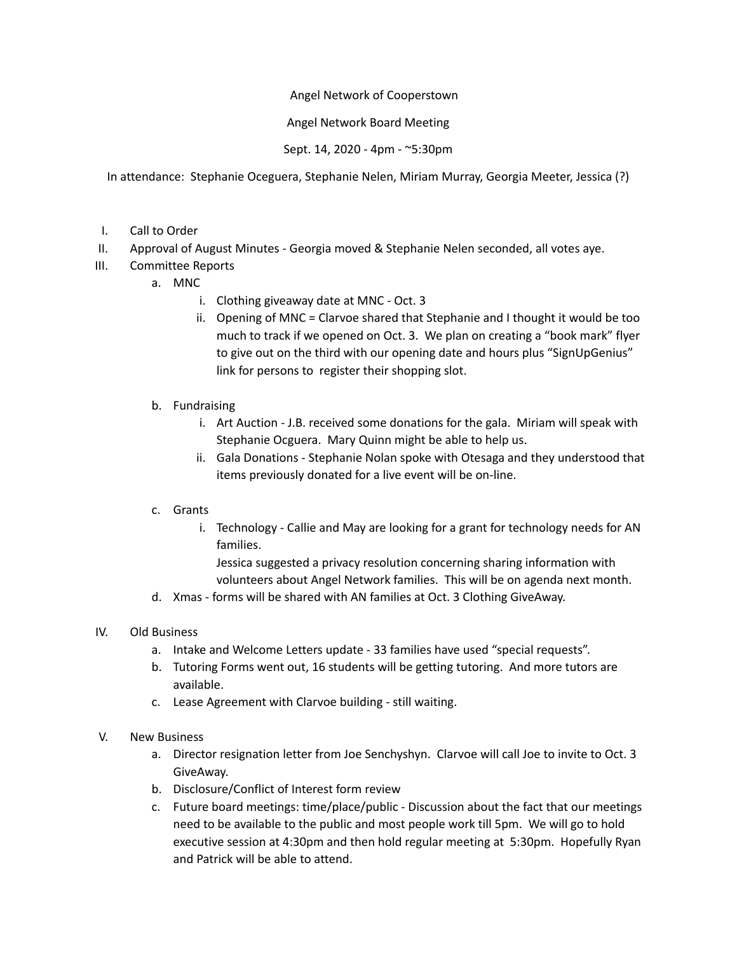## Angel Network of Cooperstown

## Angel Network Board Meeting

Sept. 14, 2020 - 4pm - ~5:30pm

In attendance: Stephanie Oceguera, Stephanie Nelen, Miriam Murray, Georgia Meeter, Jessica (?)

- I. Call to Order
- II. Approval of August Minutes Georgia moved & Stephanie Nelen seconded, all votes aye.
- III. Committee Reports
	- a. MNC
		- i. Clothing giveaway date at MNC Oct. 3
		- ii. Opening of MNC = Clarvoe shared that Stephanie and I thought it would be too much to track if we opened on Oct. 3. We plan on creating a "book mark" flyer to give out on the third with our opening date and hours plus "SignUpGenius" link for persons to register their shopping slot.
	- b. Fundraising
		- i. Art Auction J.B. received some donations for the gala. Miriam will speak with Stephanie Ocguera. Mary Quinn might be able to help us.
		- ii. Gala Donations Stephanie Nolan spoke with Otesaga and they understood that items previously donated for a live event will be on-line.

## c. Grants

i. Technology - Callie and May are looking for a grant for technology needs for AN families.

Jessica suggested a privacy resolution concerning sharing information with volunteers about Angel Network families. This will be on agenda next month.

d. Xmas - forms will be shared with AN families at Oct. 3 Clothing GiveAway.

## IV. Old Business

- a. Intake and Welcome Letters update 33 families have used "special requests".
- b. Tutoring Forms went out, 16 students will be getting tutoring. And more tutors are available.
- c. Lease Agreement with Clarvoe building still waiting.
- V. New Business
	- a. Director resignation letter from Joe Senchyshyn. Clarvoe will call Joe to invite to Oct. 3 GiveAway.
	- b. Disclosure/Conflict of Interest form review
	- c. Future board meetings: time/place/public Discussion about the fact that our meetings need to be available to the public and most people work till 5pm. We will go to hold executive session at 4:30pm and then hold regular meeting at 5:30pm. Hopefully Ryan and Patrick will be able to attend.